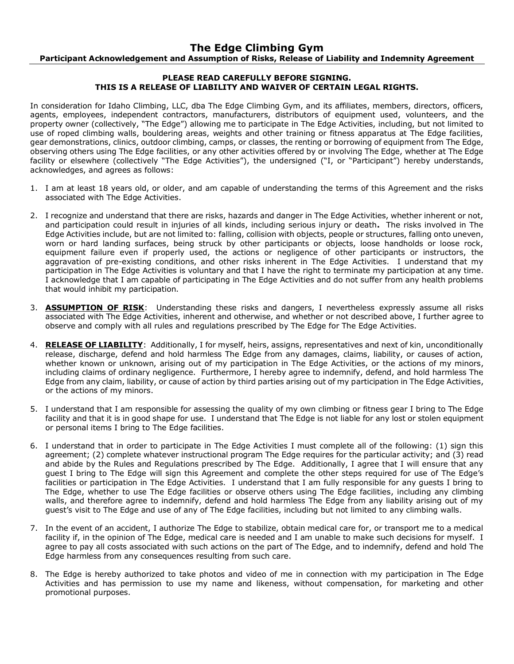## **PLEASE READ CAREFULLY BEFORE SIGNING. THIS IS A RELEASE OF LIABILITY AND WAIVER OF CERTAIN LEGAL RIGHTS.**

In consideration for Idaho Climbing, LLC, dba The Edge Climbing Gym, and its affiliates, members, directors, officers, agents, employees, independent contractors, manufacturers, distributors of equipment used, volunteers, and the property owner (collectively, "The Edge") allowing me to participate in The Edge Activities, including, but not limited to use of roped climbing walls, bouldering areas, weights and other training or fitness apparatus at The Edge facilities, gear demonstrations, clinics, outdoor climbing, camps, or classes, the renting or borrowing of equipment from The Edge, observing others using The Edge facilities, or any other activities offered by or involving The Edge, whether at The Edge facility or elsewhere (collectively "The Edge Activities"), the undersigned ("I, or "Participant") hereby understands, acknowledges, and agrees as follows:

- 1. I am at least 18 years old, or older, and am capable of understanding the terms of this Agreement and the risks associated with The Edge Activities.
- 2. I recognize and understand that there are risks, hazards and danger in The Edge Activities, whether inherent or not, and participation could result in injuries of all kinds, including serious injury or death**.** The risks involved in The Edge Activities include, but are not limited to: falling, collision with objects, people or structures, falling onto uneven, worn or hard landing surfaces, being struck by other participants or objects, loose handholds or loose rock, equipment failure even if properly used, the actions or negligence of other participants or instructors, the aggravation of pre-existing conditions, and other risks inherent in The Edge Activities. I understand that my participation in The Edge Activities is voluntary and that I have the right to terminate my participation at any time. I acknowledge that I am capable of participating in The Edge Activities and do not suffer from any health problems that would inhibit my participation.
- 3. **ASSUMPTION OF RISK**: Understanding these risks and dangers, I nevertheless expressly assume all risks associated with The Edge Activities, inherent and otherwise, and whether or not described above, I further agree to observe and comply with all rules and regulations prescribed by The Edge for The Edge Activities.
- 4. **RELEASE OF LIABILITY**: Additionally, I for myself, heirs, assigns, representatives and next of kin, unconditionally release, discharge, defend and hold harmless The Edge from any damages, claims, liability, or causes of action, whether known or unknown, arising out of my participation in The Edge Activities, or the actions of my minors, including claims of ordinary negligence. Furthermore, I hereby agree to indemnify, defend, and hold harmless The Edge from any claim, liability, or cause of action by third parties arising out of my participation in The Edge Activities, or the actions of my minors.
- 5. I understand that I am responsible for assessing the quality of my own climbing or fitness gear I bring to The Edge facility and that it is in good shape for use. I understand that The Edge is not liable for any lost or stolen equipment or personal items I bring to The Edge facilities.
- 6. I understand that in order to participate in The Edge Activities I must complete all of the following: (1) sign this agreement; (2) complete whatever instructional program The Edge requires for the particular activity; and (3) read and abide by the Rules and Regulations prescribed by The Edge. Additionally, I agree that I will ensure that any guest I bring to The Edge will sign this Agreement and complete the other steps required for use of The Edge's facilities or participation in The Edge Activities. I understand that I am fully responsible for any guests I bring to The Edge, whether to use The Edge facilities or observe others using The Edge facilities, including any climbing walls, and therefore agree to indemnify, defend and hold harmless The Edge from any liability arising out of my guest's visit to The Edge and use of any of The Edge facilities, including but not limited to any climbing walls.
- 7. In the event of an accident, I authorize The Edge to stabilize, obtain medical care for, or transport me to a medical facility if, in the opinion of The Edge, medical care is needed and I am unable to make such decisions for myself. I agree to pay all costs associated with such actions on the part of The Edge, and to indemnify, defend and hold The Edge harmless from any consequences resulting from such care.
- 8. The Edge is hereby authorized to take photos and video of me in connection with my participation in The Edge Activities and has permission to use my name and likeness, without compensation, for marketing and other promotional purposes.